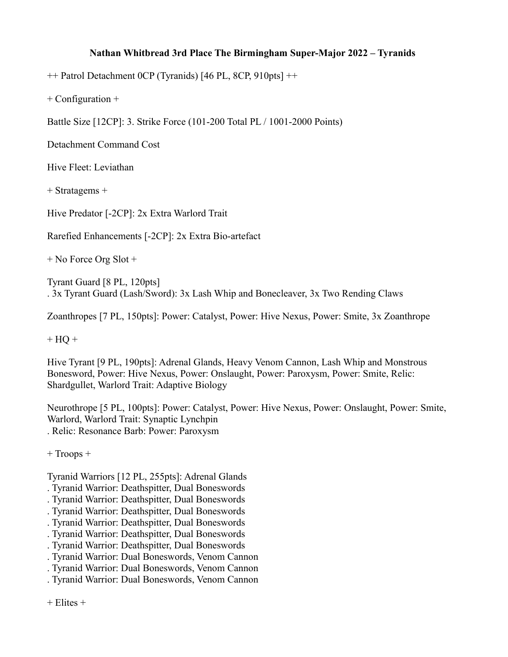## **Nathan Whitbread 3rd Place The Birmingham Super-Major 2022 – Tyranids**

++ Patrol Detachment 0CP (Tyranids) [46 PL, 8CP, 910pts] ++

+ Configuration +

Battle Size [12CP]: 3. Strike Force (101-200 Total PL / 1001-2000 Points)

Detachment Command Cost

Hive Fleet: Leviathan

+ Stratagems +

Hive Predator [-2CP]: 2x Extra Warlord Trait

Rarefied Enhancements [-2CP]: 2x Extra Bio-artefact

+ No Force Org Slot +

Tyrant Guard [8 PL, 120pts] . 3x Tyrant Guard (Lash/Sword): 3x Lash Whip and Bonecleaver, 3x Two Rending Claws

Zoanthropes [7 PL, 150pts]: Power: Catalyst, Power: Hive Nexus, Power: Smite, 3x Zoanthrope

 $+ HO +$ 

Hive Tyrant [9 PL, 190pts]: Adrenal Glands, Heavy Venom Cannon, Lash Whip and Monstrous Bonesword, Power: Hive Nexus, Power: Onslaught, Power: Paroxysm, Power: Smite, Relic: Shardgullet, Warlord Trait: Adaptive Biology

Neurothrope [5 PL, 100pts]: Power: Catalyst, Power: Hive Nexus, Power: Onslaught, Power: Smite, Warlord, Warlord Trait: Synaptic Lynchpin . Relic: Resonance Barb: Power: Paroxysm

+ Troops +

Tyranid Warriors [12 PL, 255pts]: Adrenal Glands

- . Tyranid Warrior: Deathspitter, Dual Boneswords
- . Tyranid Warrior: Deathspitter, Dual Boneswords
- . Tyranid Warrior: Deathspitter, Dual Boneswords
- . Tyranid Warrior: Deathspitter, Dual Boneswords
- . Tyranid Warrior: Deathspitter, Dual Boneswords
- . Tyranid Warrior: Deathspitter, Dual Boneswords
- . Tyranid Warrior: Dual Boneswords, Venom Cannon
- . Tyranid Warrior: Dual Boneswords, Venom Cannon
- . Tyranid Warrior: Dual Boneswords, Venom Cannon

+ Elites +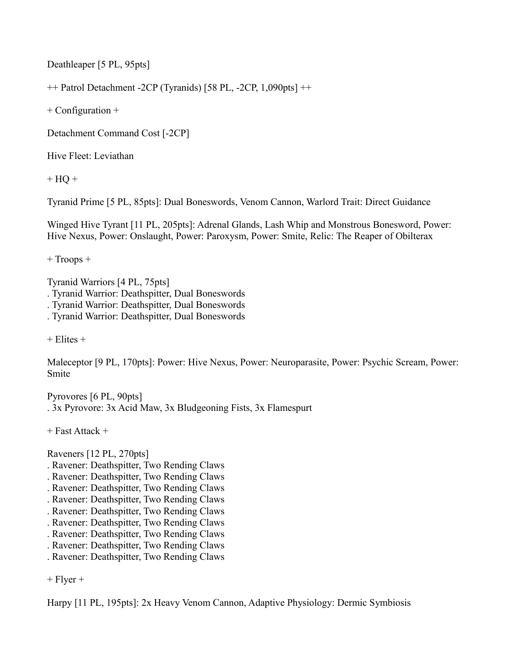Deathleaper [5 PL, 95pts]

++ Patrol Detachment -2CP (Tyranids) [58 PL, -2CP, 1,090pts] ++

+ Configuration +

Detachment Command Cost [-2CP]

Hive Fleet: Leviathan

 $+ HO +$ 

Tyranid Prime [5 PL, 85pts]: Dual Boneswords, Venom Cannon, Warlord Trait: Direct Guidance

Winged Hive Tyrant [11 PL, 205pts]: Adrenal Glands, Lash Whip and Monstrous Bonesword, Power: Hive Nexus, Power: Onslaught, Power: Paroxysm, Power: Smite, Relic: The Reaper of Obilterax

+ Troops +

Tyranid Warriors [4 PL, 75pts] . Tyranid Warrior: Deathspitter, Dual Boneswords . Tyranid Warrior: Deathspitter, Dual Boneswords . Tyranid Warrior: Deathspitter, Dual Boneswords

 $+$  Elites  $+$ 

Maleceptor [9 PL, 170pts]: Power: Hive Nexus, Power: Neuroparasite, Power: Psychic Scream, Power: Smite

Pyrovores [6 PL, 90pts] . 3x Pyrovore: 3x Acid Maw, 3x Bludgeoning Fists, 3x Flamespurt

+ Fast Attack +

Raveners [12 PL, 270pts]

- . Ravener: Deathspitter, Two Rending Claws
- . Ravener: Deathspitter, Two Rending Claws
- . Ravener: Deathspitter, Two Rending Claws
- . Ravener: Deathspitter, Two Rending Claws
- . Ravener: Deathspitter, Two Rending Claws
- . Ravener: Deathspitter, Two Rending Claws
- . Ravener: Deathspitter, Two Rending Claws
- . Ravener: Deathspitter, Two Rending Claws
- . Ravener: Deathspitter, Two Rending Claws

 $+$  Flyer  $+$ 

Harpy [11 PL, 195pts]: 2x Heavy Venom Cannon, Adaptive Physiology: Dermic Symbiosis